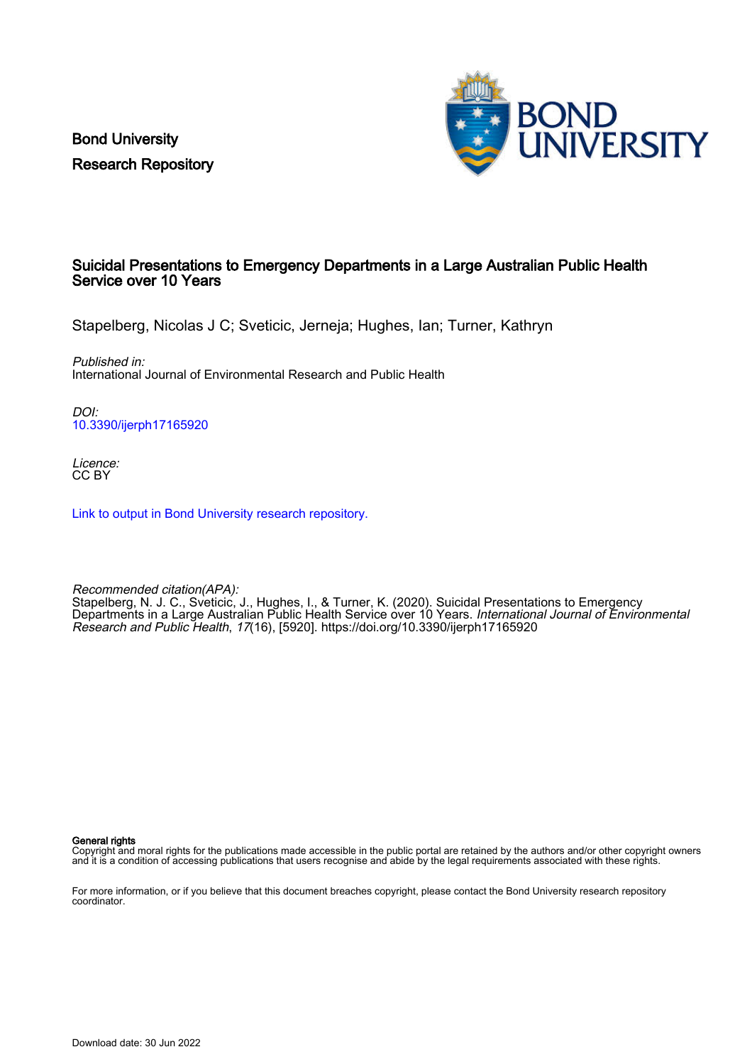Bond University Research Repository



# Suicidal Presentations to Emergency Departments in a Large Australian Public Health Service over 10 Years

Stapelberg, Nicolas J C; Sveticic, Jerneja; Hughes, Ian; Turner, Kathryn

Published in: International Journal of Environmental Research and Public Health

DOI: [10.3390/ijerph17165920](https://doi.org/10.3390/ijerph17165920)

Licence: CC BY

[Link to output in Bond University research repository.](https://research.bond.edu.au/en/publications/549c81ef-e454-4cd9-b6c8-1e7de17d5f53)

Recommended citation(APA): Stapelberg, N. J. C., Sveticic, J., Hughes, I., & Turner, K. (2020). Suicidal Presentations to Emergency Departments in a Large Australian Public Health Service over 10 Years. *International Journal of Environmental* Research and Public Health, 17(16), [5920].<https://doi.org/10.3390/ijerph17165920>

General rights

Copyright and moral rights for the publications made accessible in the public portal are retained by the authors and/or other copyright owners and it is a condition of accessing publications that users recognise and abide by the legal requirements associated with these rights.

For more information, or if you believe that this document breaches copyright, please contact the Bond University research repository coordinator.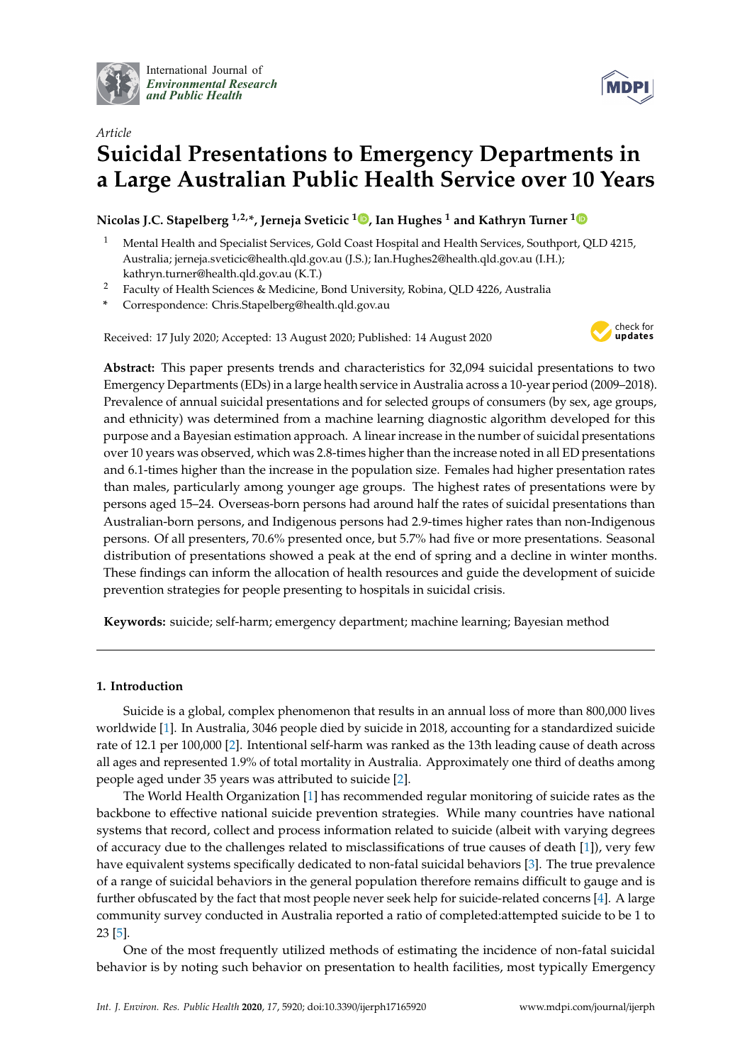

International Journal of *[Environmental Research](http://www.mdpi.com/journal/ijerph) and Public Health*



# *Article* **Suicidal Presentations to Emergency Departments in a Large Australian Public Health Service over 10 Years**

# **Nicolas J.C. Stapelberg 1,2,\*, Jerneja Sveticic <sup>1</sup> [,](https://orcid.org/0000-0002-7378-3582) Ian Hughes <sup>1</sup> and Kathryn Turner [1](https://orcid.org/0000-0002-8828-5260)**

- <sup>1</sup> Mental Health and Specialist Services, Gold Coast Hospital and Health Services, Southport, QLD 4215, Australia; jerneja.sveticic@health.qld.gov.au (J.S.); Ian.Hughes2@health.qld.gov.au (I.H.); kathryn.turner@health.qld.gov.au (K.T.)
- <sup>2</sup> Faculty of Health Sciences & Medicine, Bond University, Robina, QLD 4226, Australia
- **\*** Correspondence: Chris.Stapelberg@health.qld.gov.au

Received: 17 July 2020; Accepted: 13 August 2020; Published: 14 August 2020



**Abstract:** This paper presents trends and characteristics for 32,094 suicidal presentations to two Emergency Departments (EDs) in a large health service in Australia across a 10-year period (2009–2018). Prevalence of annual suicidal presentations and for selected groups of consumers (by sex, age groups, and ethnicity) was determined from a machine learning diagnostic algorithm developed for this purpose and a Bayesian estimation approach. A linear increase in the number of suicidal presentations over 10 years was observed, which was 2.8-times higher than the increase noted in all ED presentations and 6.1-times higher than the increase in the population size. Females had higher presentation rates than males, particularly among younger age groups. The highest rates of presentations were by persons aged 15–24. Overseas-born persons had around half the rates of suicidal presentations than Australian-born persons, and Indigenous persons had 2.9-times higher rates than non-Indigenous persons. Of all presenters, 70.6% presented once, but 5.7% had five or more presentations. Seasonal distribution of presentations showed a peak at the end of spring and a decline in winter months. These findings can inform the allocation of health resources and guide the development of suicide prevention strategies for people presenting to hospitals in suicidal crisis.

**Keywords:** suicide; self-harm; emergency department; machine learning; Bayesian method

# **1. Introduction**

Suicide is a global, complex phenomenon that results in an annual loss of more than 800,000 lives worldwide [\[1\]](#page-10-0). In Australia, 3046 people died by suicide in 2018, accounting for a standardized suicide rate of 12.1 per 100,000 [\[2\]](#page-10-1). Intentional self-harm was ranked as the 13th leading cause of death across all ages and represented 1.9% of total mortality in Australia. Approximately one third of deaths among people aged under 35 years was attributed to suicide [\[2\]](#page-10-1).

The World Health Organization [\[1\]](#page-10-0) has recommended regular monitoring of suicide rates as the backbone to effective national suicide prevention strategies. While many countries have national systems that record, collect and process information related to suicide (albeit with varying degrees of accuracy due to the challenges related to misclassifications of true causes of death [\[1\]](#page-10-0)), very few have equivalent systems specifically dedicated to non-fatal suicidal behaviors [\[3\]](#page-10-2). The true prevalence of a range of suicidal behaviors in the general population therefore remains difficult to gauge and is further obfuscated by the fact that most people never seek help for suicide-related concerns [\[4\]](#page-10-3). A large community survey conducted in Australia reported a ratio of completed:attempted suicide to be 1 to 23 [\[5\]](#page-10-4).

One of the most frequently utilized methods of estimating the incidence of non-fatal suicidal behavior is by noting such behavior on presentation to health facilities, most typically Emergency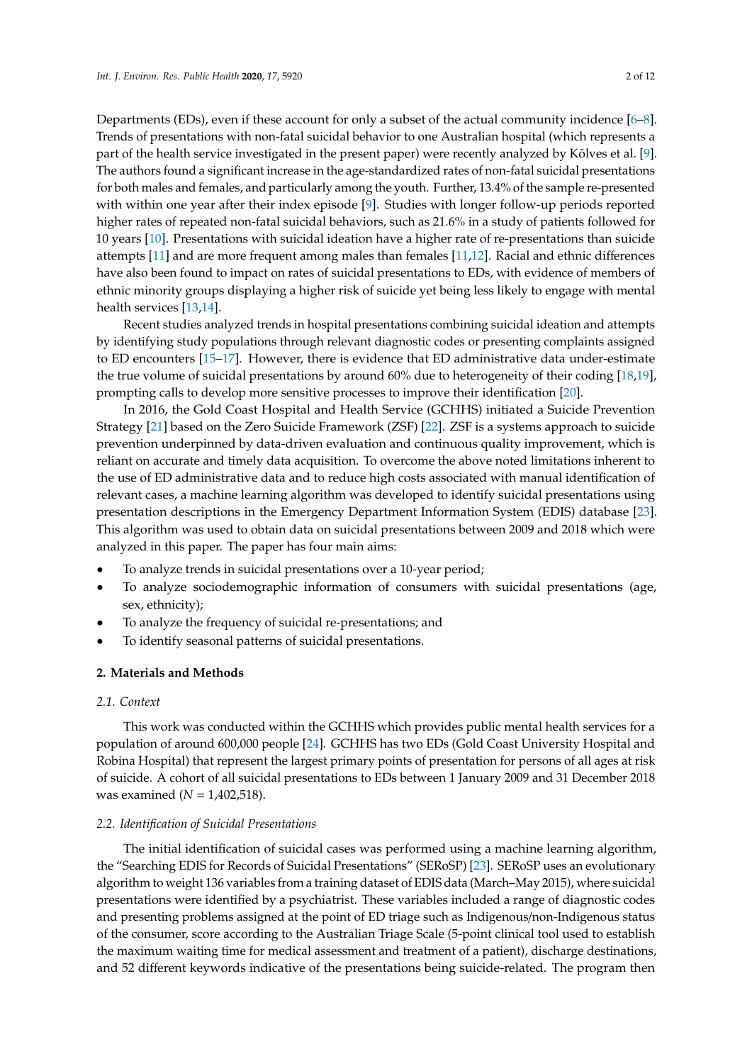Departments (EDs), even if these account for only a subset of the actual community incidence [\[6–](#page-10-5)[8\]](#page-10-6). Trends of presentations with non-fatal suicidal behavior to one Australian hospital (which represents a part of the health service investigated in the present paper) were recently analyzed by Kõlves et al. [\[9\]](#page-10-7). The authors found a significant increase in the age-standardized rates of non-fatal suicidal presentations for both males and females, and particularly among the youth. Further, 13.4% of the sample re-presented with within one year after their index episode [\[9\]](#page-10-7). Studies with longer follow-up periods reported higher rates of repeated non-fatal suicidal behaviors, such as 21.6% in a study of patients followed for 10 years [\[10\]](#page-10-8). Presentations with suicidal ideation have a higher rate of re-presentations than suicide attempts [\[11\]](#page-10-9) and are more frequent among males than females [\[11](#page-10-9)[,12\]](#page-10-10). Racial and ethnic differences have also been found to impact on rates of suicidal presentations to EDs, with evidence of members of ethnic minority groups displaying a higher risk of suicide yet being less likely to engage with mental health services [\[13,](#page-10-11)[14\]](#page-10-12).

Recent studies analyzed trends in hospital presentations combining suicidal ideation and attempts by identifying study populations through relevant diagnostic codes or presenting complaints assigned to ED encounters [\[15–](#page-10-13)[17\]](#page-10-14). However, there is evidence that ED administrative data under-estimate the true volume of suicidal presentations by around 60% due to heterogeneity of their coding [\[18,](#page-10-15)[19\]](#page-10-16), prompting calls to develop more sensitive processes to improve their identification [\[20\]](#page-10-17).

In 2016, the Gold Coast Hospital and Health Service (GCHHS) initiated a Suicide Prevention Strategy [\[21\]](#page-10-18) based on the Zero Suicide Framework (ZSF) [\[22\]](#page-11-0). ZSF is a systems approach to suicide prevention underpinned by data-driven evaluation and continuous quality improvement, which is reliant on accurate and timely data acquisition. To overcome the above noted limitations inherent to the use of ED administrative data and to reduce high costs associated with manual identification of relevant cases, a machine learning algorithm was developed to identify suicidal presentations using presentation descriptions in the Emergency Department Information System (EDIS) database [\[23\]](#page-11-1). This algorithm was used to obtain data on suicidal presentations between 2009 and 2018 which were analyzed in this paper. The paper has four main aims:

- To analyze trends in suicidal presentations over a 10-year period;
- To analyze sociodemographic information of consumers with suicidal presentations (age, sex, ethnicity);
- To analyze the frequency of suicidal re-presentations; and
- To identify seasonal patterns of suicidal presentations.

## **2. Materials and Methods**

### *2.1. Context*

This work was conducted within the GCHHS which provides public mental health services for a population of around 600,000 people [\[24\]](#page-11-2). GCHHS has two EDs (Gold Coast University Hospital and Robina Hospital) that represent the largest primary points of presentation for persons of all ages at risk of suicide. A cohort of all suicidal presentations to EDs between 1 January 2009 and 31 December 2018 was examined (*N* = 1,402,518).

#### *2.2. Identification of Suicidal Presentations*

The initial identification of suicidal cases was performed using a machine learning algorithm, the "Searching EDIS for Records of Suicidal Presentations" (SERoSP) [\[23\]](#page-11-1). SERoSP uses an evolutionary algorithm to weight 136 variables from a training dataset of EDIS data (March–May 2015), where suicidal presentations were identified by a psychiatrist. These variables included a range of diagnostic codes and presenting problems assigned at the point of ED triage such as Indigenous/non-Indigenous status of the consumer, score according to the Australian Triage Scale (5-point clinical tool used to establish the maximum waiting time for medical assessment and treatment of a patient), discharge destinations, and 52 different keywords indicative of the presentations being suicide-related. The program then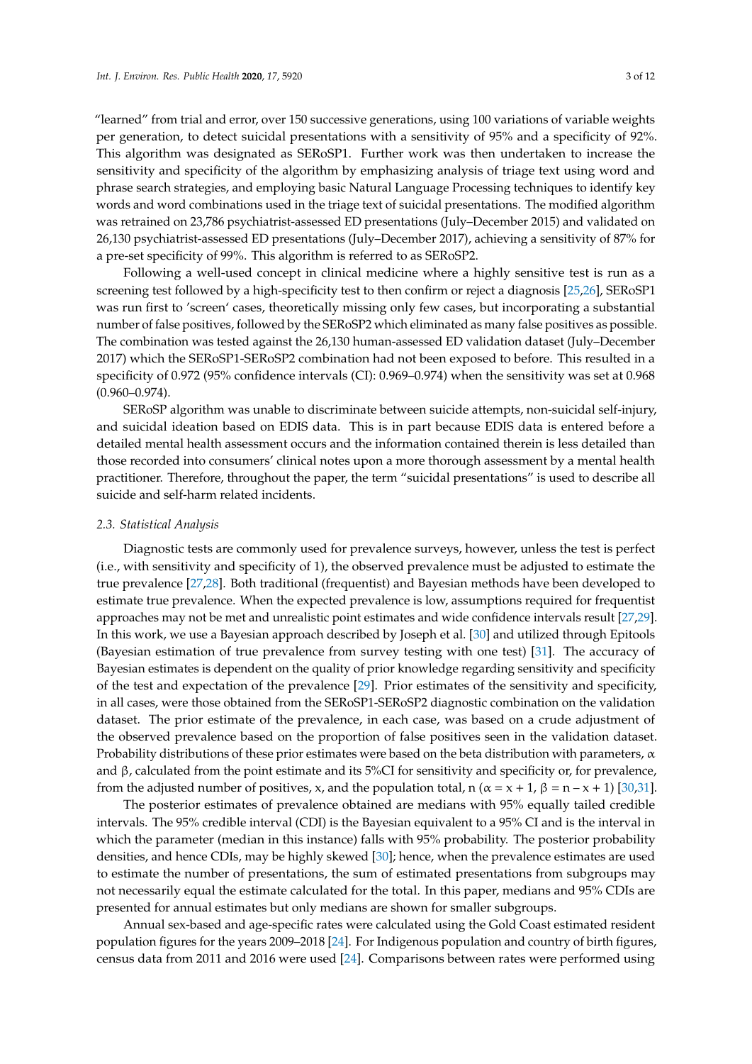"learned" from trial and error, over 150 successive generations, using 100 variations of variable weights per generation, to detect suicidal presentations with a sensitivity of 95% and a specificity of 92%. This algorithm was designated as SERoSP1. Further work was then undertaken to increase the sensitivity and specificity of the algorithm by emphasizing analysis of triage text using word and phrase search strategies, and employing basic Natural Language Processing techniques to identify key words and word combinations used in the triage text of suicidal presentations. The modified algorithm was retrained on 23,786 psychiatrist-assessed ED presentations (July–December 2015) and validated on 26,130 psychiatrist-assessed ED presentations (July–December 2017), achieving a sensitivity of 87% for a pre-set specificity of 99%. This algorithm is referred to as SERoSP2.

Following a well-used concept in clinical medicine where a highly sensitive test is run as a screening test followed by a high-specificity test to then confirm or reject a diagnosis [\[25](#page-11-3)[,26\]](#page-11-4), SERoSP1 was run first to 'screen' cases, theoretically missing only few cases, but incorporating a substantial number of false positives, followed by the SERoSP2 which eliminated as many false positives as possible. The combination was tested against the 26,130 human-assessed ED validation dataset (July–December 2017) which the SERoSP1-SERoSP2 combination had not been exposed to before. This resulted in a specificity of 0.972 (95% confidence intervals (CI): 0.969–0.974) when the sensitivity was set at 0.968 (0.960–0.974).

SERoSP algorithm was unable to discriminate between suicide attempts, non-suicidal self-injury, and suicidal ideation based on EDIS data. This is in part because EDIS data is entered before a detailed mental health assessment occurs and the information contained therein is less detailed than those recorded into consumers' clinical notes upon a more thorough assessment by a mental health practitioner. Therefore, throughout the paper, the term "suicidal presentations" is used to describe all suicide and self-harm related incidents.

#### *2.3. Statistical Analysis*

Diagnostic tests are commonly used for prevalence surveys, however, unless the test is perfect (i.e., with sensitivity and specificity of 1), the observed prevalence must be adjusted to estimate the true prevalence [\[27,](#page-11-5)[28\]](#page-11-6). Both traditional (frequentist) and Bayesian methods have been developed to estimate true prevalence. When the expected prevalence is low, assumptions required for frequentist approaches may not be met and unrealistic point estimates and wide confidence intervals result [\[27](#page-11-5)[,29\]](#page-11-7). In this work, we use a Bayesian approach described by Joseph et al. [\[30\]](#page-11-8) and utilized through Epitools (Bayesian estimation of true prevalence from survey testing with one test) [\[31\]](#page-11-9). The accuracy of Bayesian estimates is dependent on the quality of prior knowledge regarding sensitivity and specificity of the test and expectation of the prevalence [\[29\]](#page-11-7). Prior estimates of the sensitivity and specificity, in all cases, were those obtained from the SERoSP1-SERoSP2 diagnostic combination on the validation dataset. The prior estimate of the prevalence, in each case, was based on a crude adjustment of the observed prevalence based on the proportion of false positives seen in the validation dataset. Probability distributions of these prior estimates were based on the beta distribution with parameters,  $\alpha$ and  $\beta$ , calculated from the point estimate and its 5%CI for sensitivity and specificity or, for prevalence, from the adjusted number of positives, x, and the population total, n ( $\alpha = x + 1$ ,  $\beta = n - x + 1$ ) [\[30,](#page-11-8)[31\]](#page-11-9).

The posterior estimates of prevalence obtained are medians with 95% equally tailed credible intervals. The 95% credible interval (CDI) is the Bayesian equivalent to a 95% CI and is the interval in which the parameter (median in this instance) falls with 95% probability. The posterior probability densities, and hence CDIs, may be highly skewed [\[30\]](#page-11-8); hence, when the prevalence estimates are used to estimate the number of presentations, the sum of estimated presentations from subgroups may not necessarily equal the estimate calculated for the total. In this paper, medians and 95% CDIs are presented for annual estimates but only medians are shown for smaller subgroups.

Annual sex-based and age-specific rates were calculated using the Gold Coast estimated resident population figures for the years 2009–2018 [\[24\]](#page-11-2). For Indigenous population and country of birth figures, census data from 2011 and 2016 were used [\[24\]](#page-11-2). Comparisons between rates were performed using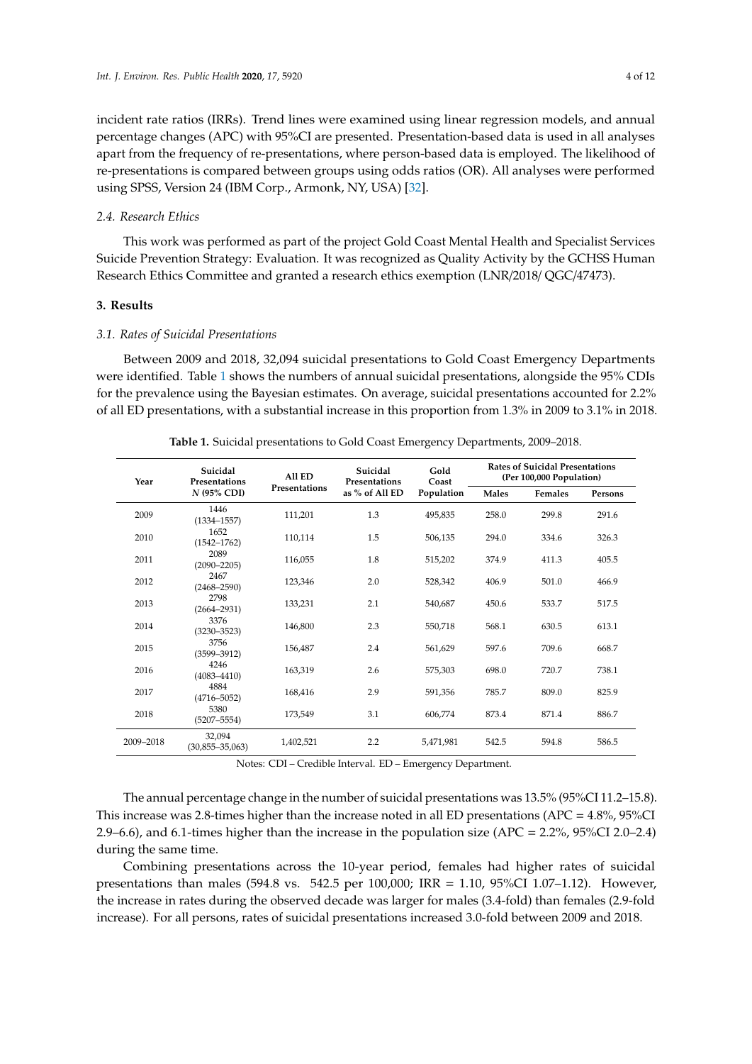incident rate ratios (IRRs). Trend lines were examined using linear regression models, and annual percentage changes (APC) with 95%CI are presented. Presentation-based data is used in all analyses apart from the frequency of re-presentations, where person-based data is employed. The likelihood of re-presentations is compared between groups using odds ratios (OR). All analyses were performed using SPSS, Version 24 (IBM Corp., Armonk, NY, USA) [\[32\]](#page-11-10).

# *2.4. Research Ethics*

This work was performed as part of the project Gold Coast Mental Health and Specialist Services Suicide Prevention Strategy: Evaluation. It was recognized as Quality Activity by the GCHSS Human Research Ethics Committee and granted a research ethics exemption (LNR/2018/ QGC/47473).

# **3. Results**

### *3.1. Rates of Suicidal Presentations*

Between 2009 and 2018, 32,094 suicidal presentations to Gold Coast Emergency Departments were identified. Table [1](#page-4-0) shows the numbers of annual suicidal presentations, alongside the 95% CDIs for the prevalence using the Bayesian estimates. On average, suicidal presentations accounted for 2.2% of all ED presentations, with a substantial increase in this proportion from 1.3% in 2009 to 3.1% in 2018.

<span id="page-4-0"></span>

| Year      | Suicidal<br>Presentations<br>$N$ (95% CDI) | All ED<br>Presentations | Suicidal<br><b>Presentations</b><br>as % of All ED | Gold<br>Coast<br>Population | <b>Rates of Suicidal Presentations</b><br>(Per 100,000 Population) |         |         |
|-----------|--------------------------------------------|-------------------------|----------------------------------------------------|-----------------------------|--------------------------------------------------------------------|---------|---------|
|           |                                            |                         |                                                    |                             | Males                                                              | Females | Persons |
| 2009      | 1446<br>$(1334 - 1557)$                    | 111,201                 | 1.3                                                | 495,835                     | 258.0                                                              | 299.8   | 291.6   |
| 2010      | 1652<br>$(1542 - 1762)$                    | 110.114                 | 1.5                                                | 506,135                     | 294.0                                                              | 334.6   | 326.3   |
| 2011      | 2089<br>$(2090 - 2205)$                    | 116.055                 | 1.8                                                | 515,202                     | 374.9                                                              | 411.3   | 405.5   |
| 2012      | 2467<br>$(2468 - 2590)$                    | 123,346                 | 2.0                                                | 528,342                     | 406.9                                                              | 501.0   | 466.9   |
| 2013      | 2798<br>$(2664 - 2931)$                    | 133,231                 | 2.1                                                | 540,687                     | 450.6                                                              | 533.7   | 517.5   |
| 2014      | 3376<br>$(3230 - 3523)$                    | 146,800                 | 2.3                                                | 550,718                     | 568.1                                                              | 630.5   | 613.1   |
| 2015      | 3756<br>$(3599 - 3912)$                    | 156,487                 | 2.4                                                | 561,629                     | 597.6                                                              | 709.6   | 668.7   |
| 2016      | 4246<br>$(4083 - 4410)$                    | 163,319                 | 2.6                                                | 575,303                     | 698.0                                                              | 720.7   | 738.1   |
| 2017      | 4884<br>$(4716 - 5052)$                    | 168,416                 | 2.9                                                | 591,356                     | 785.7                                                              | 809.0   | 825.9   |
| 2018      | 5380<br>$(5207 - 5554)$                    | 173,549                 | 3.1                                                | 606,774                     | 873.4                                                              | 871.4   | 886.7   |
| 2009-2018 | 32,094<br>$(30,855 - 35,063)$              | 1.402.521               | 2.2                                                | 5.471.981                   | 542.5                                                              | 594.8   | 586.5   |

**Table 1.** Suicidal presentations to Gold Coast Emergency Departments, 2009–2018.

Notes: CDI – Credible Interval. ED – Emergency Department.

The annual percentage change in the number of suicidal presentations was 13.5% (95%CI 11.2–15.8). This increase was 2.8-times higher than the increase noted in all ED presentations (APC = 4.8%, 95%CI 2.9–6.6), and 6.1-times higher than the increase in the population size (APC = 2.2%, 95%CI 2.0–2.4) during the same time.

Combining presentations across the 10-year period, females had higher rates of suicidal presentations than males (594.8 vs. 542.5 per 100,000; IRR = 1.10, 95%CI 1.07–1.12). However, the increase in rates during the observed decade was larger for males (3.4-fold) than females (2.9-fold increase). For all persons, rates of suicidal presentations increased 3.0-fold between 2009 and 2018.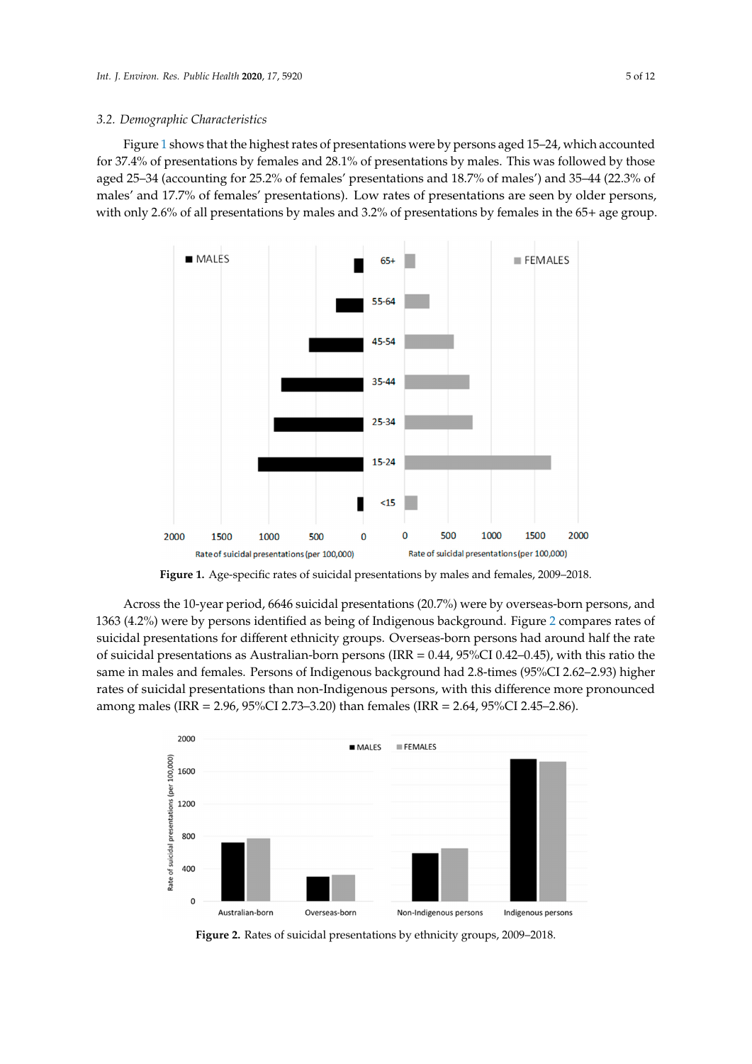# 3.2. Demographic Characteristics **Figure 1 shows that the highest rates of presentations were by persons agents**  $\overline{a}$ , 37.4% of presentations by females and 28.1% of presentations by males. This was males. This was males. This was males. This was made to present a set of presentations by males. This was made to present a set of

Figure 1 shows that the highest rates of presentations were b[y](#page-5-0) persons aged 15–24, which accounted for 37.4% of presentations by females and 28.1% of presentations by males. This was followed by those aged 25–34 (accounting for 25.2% of females' presentations and 18.7% of males') and 35–44 (22.3% of males' and 17.7% of females' presentations). Low rates of presentations are seen by older persons, with only 2.6% of all presentations by males and 3.2% of presentations by females in the 65+ age group.

<span id="page-5-0"></span>

**Figure 1.** Age-specific rates of suicidal presentations by males and females, 2009–2018.

1363 (4.2%) were by p[ers](#page-5-1)ons identified as being of Indigenous background. Figure 2 compares rates of suicidal presentations for different ethnicity groups. Overseas-born persons had around half the rate of suicidal presentations as Australian-born persons (IRR  $= 0.44$ , 95%CI 0.42–0.45), with this ratio the same in males and females. Persons of Indigenous background had 2.8-times (95%CI 2.62–2.93) higher rates of suicidal presentations than non-Indigenous persons, with this difference more pronounced among males (IRR = 2.96, 95%CI 2.73–3.20) than females (IRR = 2.64, 95%CI 2.45–2.86). Across the 10-year period, 6646 suicidal presentations (20.7%) were by overseas-born persons, and

<span id="page-5-1"></span>

**Figure 2.** Rates of suicidal presentations by ethnicity groups, 2009–2018.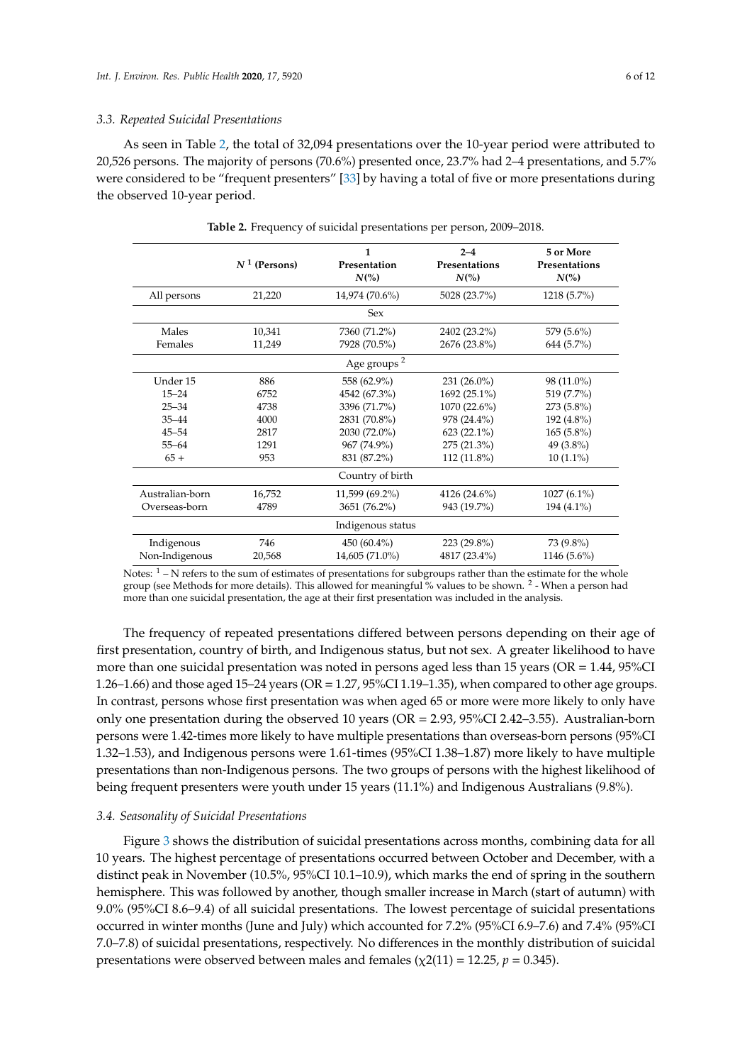#### *3.3. Repeated Suicidal Presentations*

As seen in Table [2,](#page-6-0) the total of 32,094 presentations over the 10-year period were attributed to 20,526 persons. The majority of persons (70.6%) presented once, 23.7% had 2–4 presentations, and 5.7% were considered to be "frequent presenters" [\[33\]](#page-11-11) by having a total of five or more presentations during the observed 10-year period.

<span id="page-6-0"></span>

|                 | $N^1$ (Persons) | 1<br>Presentation<br>$N\binom{0}{0}$ | $2 - 4$<br>Presentations<br>$N\binom{0}{0}$ | 5 or More<br>Presentations<br>$N\binom{0}{0}$ |  |
|-----------------|-----------------|--------------------------------------|---------------------------------------------|-----------------------------------------------|--|
| All persons     | 21,220          | 14,974 (70.6%)                       | 5028 (23.7%)                                | 1218 (5.7%)                                   |  |
|                 |                 | <b>Sex</b>                           |                                             |                                               |  |
| Males           | 10,341          | 7360 (71.2%)                         | 2402 (23.2%)                                | 579 (5.6%)                                    |  |
| Females         | 11,249          | 7928 (70.5%)                         | 2676 (23.8%)                                | 644 (5.7%)                                    |  |
|                 |                 | Age groups <sup>2</sup>              |                                             |                                               |  |
| Under 15        | 886             | 558 (62.9%)                          | $231(26.0\%)$                               | 98 (11.0%)                                    |  |
| $15 - 24$       | 6752            | 4542 (67.3%)                         | 1692 (25.1%)                                | 519 (7.7%)                                    |  |
| $25 - 34$       | 4738            | 3396 (71.7%)                         | 1070 (22.6%)                                | 273 (5.8%)                                    |  |
| $35 - 44$       | 4000            | 2831 (70.8%)                         | 978 (24.4%)                                 | 192 (4.8%)                                    |  |
| $45 - 54$       | 2817            | 2030 (72.0%)                         | $623(22.1\%)$                               | $165(5.8\%)$                                  |  |
| $55 - 64$       | 1291            | 967 (74.9%)                          | 275 (21.3%)                                 | 49 $(3.8\%)$                                  |  |
| $65+$           | 953             | 831 (87.2%)                          | 112 (11.8%)                                 | $10(1.1\%)$                                   |  |
|                 |                 | Country of birth                     |                                             |                                               |  |
| Australian-born | 16,752          | 11,599 (69.2%)                       | 4126 (24.6%)                                | $1027(6.1\%)$                                 |  |
| Overseas-born   | 4789            | 3651 (76.2%)                         | 943 (19.7%)                                 | 194 (4.1%)                                    |  |
|                 |                 | Indigenous status                    |                                             |                                               |  |
| Indigenous      | 746             | 450 $(60.4\%)$                       | 223 (29.8%)                                 | 73 (9.8%)                                     |  |
| Non-Indigenous  | 20,568          | 14,605 (71.0%)                       | 4817 (23.4%)                                | $1146(5.6\%)$                                 |  |

**Table 2.** Frequency of suicidal presentations per person, 2009–2018.

Notes:  $1 - N$  refers to the sum of estimates of presentations for subgroups rather than the estimate for the whole group (see Methods for more details). This allowed for meaningful % values to be shown. <sup>2</sup> - When a person had more than one suicidal presentation, the age at their first presentation was included in the analysis.

The frequency of repeated presentations differed between persons depending on their age of first presentation, country of birth, and Indigenous status, but not sex. A greater likelihood to have more than one suicidal presentation was noted in persons aged less than 15 years (OR = 1.44, 95%CI 1.26–1.66) and those aged 15–24 years (OR = 1.27, 95%CI 1.19–1.35), when compared to other age groups. In contrast, persons whose first presentation was when aged 65 or more were more likely to only have only one presentation during the observed 10 years ( $OR = 2.93$ ,  $95\% CI$  2.42–3.55). Australian-born persons were 1.42-times more likely to have multiple presentations than overseas-born persons (95%CI 1.32–1.53), and Indigenous persons were 1.61-times (95%CI 1.38–1.87) more likely to have multiple presentations than non-Indigenous persons. The two groups of persons with the highest likelihood of being frequent presenters were youth under 15 years (11.1%) and Indigenous Australians (9.8%).

#### *3.4. Seasonality of Suicidal Presentations*

Figure [3](#page-7-0) shows the distribution of suicidal presentations across months, combining data for all 10 years. The highest percentage of presentations occurred between October and December, with a distinct peak in November (10.5%, 95%CI 10.1–10.9), which marks the end of spring in the southern hemisphere. This was followed by another, though smaller increase in March (start of autumn) with 9.0% (95%CI 8.6–9.4) of all suicidal presentations. The lowest percentage of suicidal presentations occurred in winter months (June and July) which accounted for 7.2% (95%CI 6.9–7.6) and 7.4% (95%CI 7.0–7.8) of suicidal presentations, respectively. No differences in the monthly distribution of suicidal presentations were observed between males and females ( $\chi$ 2(11) = 12.25, *p* = 0.345).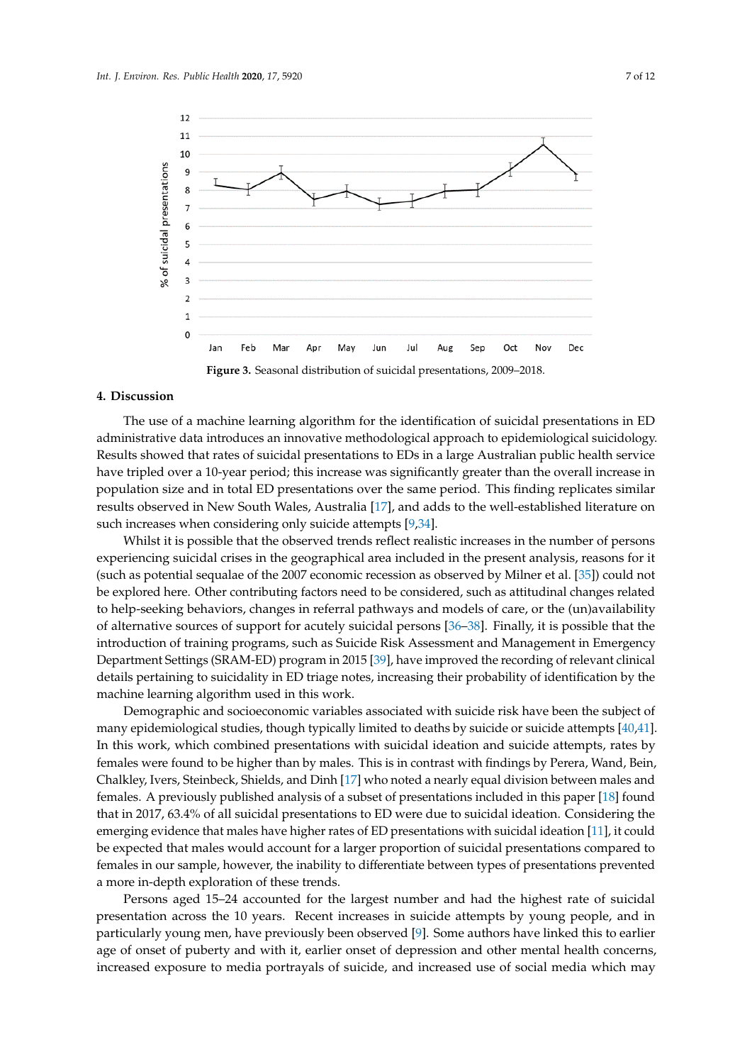<span id="page-7-0"></span>

#### **4. Discussion**

The use of a machine learning algorithm for the identification of suicidal presentations in ED The use of a machine learning algorithm for the identification of suicidal presentations in ED Results showed that rates of suicidal presentations to EDs in a large Australian public health service have tripled over a 10-year period; this increase was significantly greater than the overall increase in population size and in total ED presentations over the same period. This finding replicates similar population size and in total ED presentations over the same period. This finding replicates similar results observed in New South Wales, Australia [\[17\]](#page-10-14), and adds to the well-established literature on results observed in New South Wales, Australia [17], and adds to the well-established literature on such increases when considering only suicide attempts [\[9,](#page-10-7)[34\]](#page-11-12). administrative data introduces an innovative methodological approach to epidemiological suicidology.

Whilst it is possible that the observed trends reflect realistic increases in the number of persons experiencing suicidal crises in the geographical area included in the present analysis, reasons for it Whilst it is possible that the observed trends reflect realistic increases in the number of persons (such as potential sequalae of the 2007 economic recession as observed by Milner et al. [\[35\]](#page-11-13)) could not be explored here. Other contributing factors need to be considered, such as attitudinal changes related be explored here. to expression could could not could not be 2007 economic recession, when the militarities can get control to help-seeking behaviors, changes in referral pathways and models of care, or the (un)availability of alternative sources of support for acutely suicidal persons [\[36](#page-11-14)[–38\]](#page-11-15). Finally, it is possible that the related to help-seeking behaviors, changes in referral pathways and models of care, or the introduction of training programs, such as Suicide Risk Assessment and Management in Emergency Department Settings (SRAM-ED) program in 2015 [\[39\]](#page-11-16), have improved the recording of relevant clinical details pertaining to suicidality in ED triage notes, increasing their probability of identification by the machine learning algorithm used in this work.

Demographic and socioeconomic variables associated with suicide risk have been the subject of many epidemiological studies, though typically limited to deaths by suicide or suicide attempts [\[40](#page-11-17)[,41\]](#page-11-18). In this work, which combined presentations with suicidal ideation and suicide attempts, rates by females were found to be higher than by males. This is in contrast with findings by Perera, Wand, Bein, Chalkley, Ivers, Steinbeck, Shields, and Dinh [\[17\]](#page-10-14) who noted a nearly equal division between males and females. A previously published analysis of a subset of presentations included in this paper [\[18\]](#page-10-15) found that in 2017, 63.4% of all suicidal presentations to ED were due to suicidal ideation. Considering the emerging evidence that males have higher rates of ED presentations with suicidal ideation [\[11\]](#page-10-9), it could be expected that males would account for a larger proportion of suicidal presentations compared to females in our sample, however, the inability to differentiate between types of presentations prevented a more in-depth exploration of these trends.

Persons aged 15–24 accounted for the largest number and had the highest rate of suicidal presentation across the 10 years. Recent increases in suicide attempts by young people, and in particularly young men, have previously been observed [\[9\]](#page-10-7). Some authors have linked this to earlier age of onset of puberty and with it, earlier onset of depression and other mental health concerns, increased exposure to media portrayals of suicide, and increased use of social media which may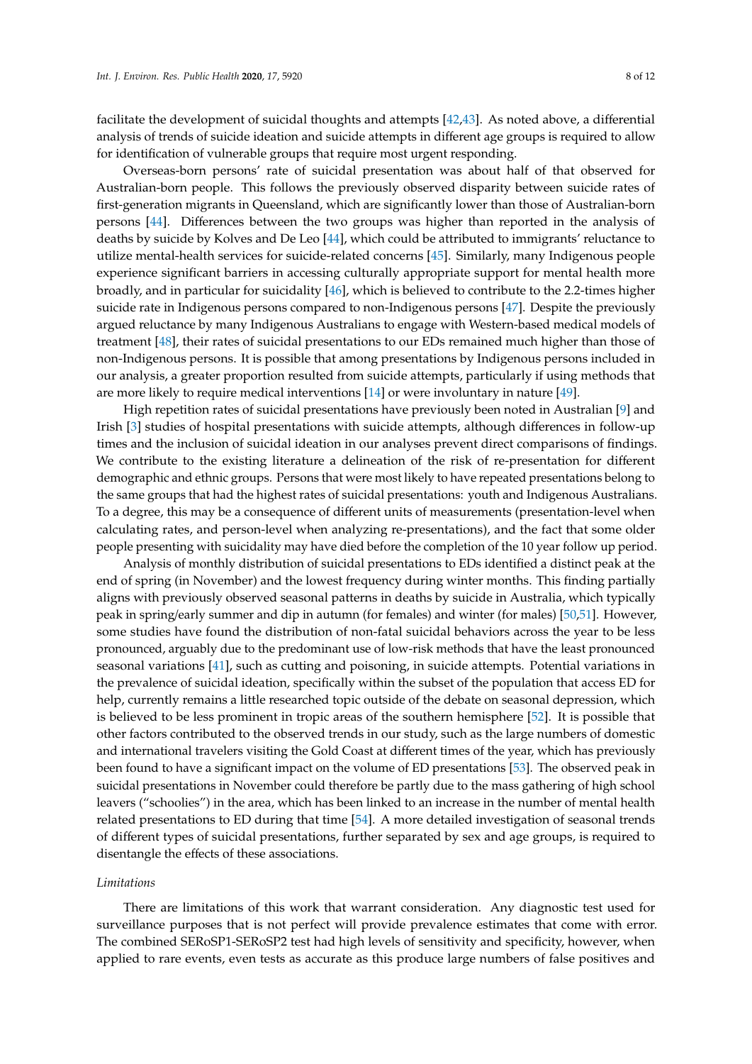facilitate the development of suicidal thoughts and attempts [\[42](#page-11-19)[,43\]](#page-11-20). As noted above, a differential analysis of trends of suicide ideation and suicide attempts in different age groups is required to allow for identification of vulnerable groups that require most urgent responding.

Overseas-born persons' rate of suicidal presentation was about half of that observed for Australian-born people. This follows the previously observed disparity between suicide rates of first-generation migrants in Queensland, which are significantly lower than those of Australian-born persons [\[44\]](#page-12-0). Differences between the two groups was higher than reported in the analysis of deaths by suicide by Kolves and De Leo [\[44\]](#page-12-0), which could be attributed to immigrants' reluctance to utilize mental-health services for suicide-related concerns [\[45\]](#page-12-1). Similarly, many Indigenous people experience significant barriers in accessing culturally appropriate support for mental health more broadly, and in particular for suicidality [\[46\]](#page-12-2), which is believed to contribute to the 2.2-times higher suicide rate in Indigenous persons compared to non-Indigenous persons [\[47\]](#page-12-3). Despite the previously argued reluctance by many Indigenous Australians to engage with Western-based medical models of treatment [\[48\]](#page-12-4), their rates of suicidal presentations to our EDs remained much higher than those of non-Indigenous persons. It is possible that among presentations by Indigenous persons included in our analysis, a greater proportion resulted from suicide attempts, particularly if using methods that are more likely to require medical interventions [\[14\]](#page-10-12) or were involuntary in nature [\[49\]](#page-12-5).

High repetition rates of suicidal presentations have previously been noted in Australian [\[9\]](#page-10-7) and Irish [\[3\]](#page-10-2) studies of hospital presentations with suicide attempts, although differences in follow-up times and the inclusion of suicidal ideation in our analyses prevent direct comparisons of findings. We contribute to the existing literature a delineation of the risk of re-presentation for different demographic and ethnic groups. Persons that were most likely to have repeated presentations belong to the same groups that had the highest rates of suicidal presentations: youth and Indigenous Australians. To a degree, this may be a consequence of different units of measurements (presentation-level when calculating rates, and person-level when analyzing re-presentations), and the fact that some older people presenting with suicidality may have died before the completion of the 10 year follow up period.

Analysis of monthly distribution of suicidal presentations to EDs identified a distinct peak at the end of spring (in November) and the lowest frequency during winter months. This finding partially aligns with previously observed seasonal patterns in deaths by suicide in Australia, which typically peak in spring/early summer and dip in autumn (for females) and winter (for males) [\[50](#page-12-6)[,51\]](#page-12-7). However, some studies have found the distribution of non-fatal suicidal behaviors across the year to be less pronounced, arguably due to the predominant use of low-risk methods that have the least pronounced seasonal variations [\[41\]](#page-11-18), such as cutting and poisoning, in suicide attempts. Potential variations in the prevalence of suicidal ideation, specifically within the subset of the population that access ED for help, currently remains a little researched topic outside of the debate on seasonal depression, which is believed to be less prominent in tropic areas of the southern hemisphere [\[52\]](#page-12-8). It is possible that other factors contributed to the observed trends in our study, such as the large numbers of domestic and international travelers visiting the Gold Coast at different times of the year, which has previously been found to have a significant impact on the volume of ED presentations [\[53\]](#page-12-9). The observed peak in suicidal presentations in November could therefore be partly due to the mass gathering of high school leavers ("schoolies") in the area, which has been linked to an increase in the number of mental health related presentations to ED during that time [\[54\]](#page-12-10). A more detailed investigation of seasonal trends of different types of suicidal presentations, further separated by sex and age groups, is required to disentangle the effects of these associations.

#### *Limitations*

There are limitations of this work that warrant consideration. Any diagnostic test used for surveillance purposes that is not perfect will provide prevalence estimates that come with error. The combined SERoSP1-SERoSP2 test had high levels of sensitivity and specificity, however, when applied to rare events, even tests as accurate as this produce large numbers of false positives and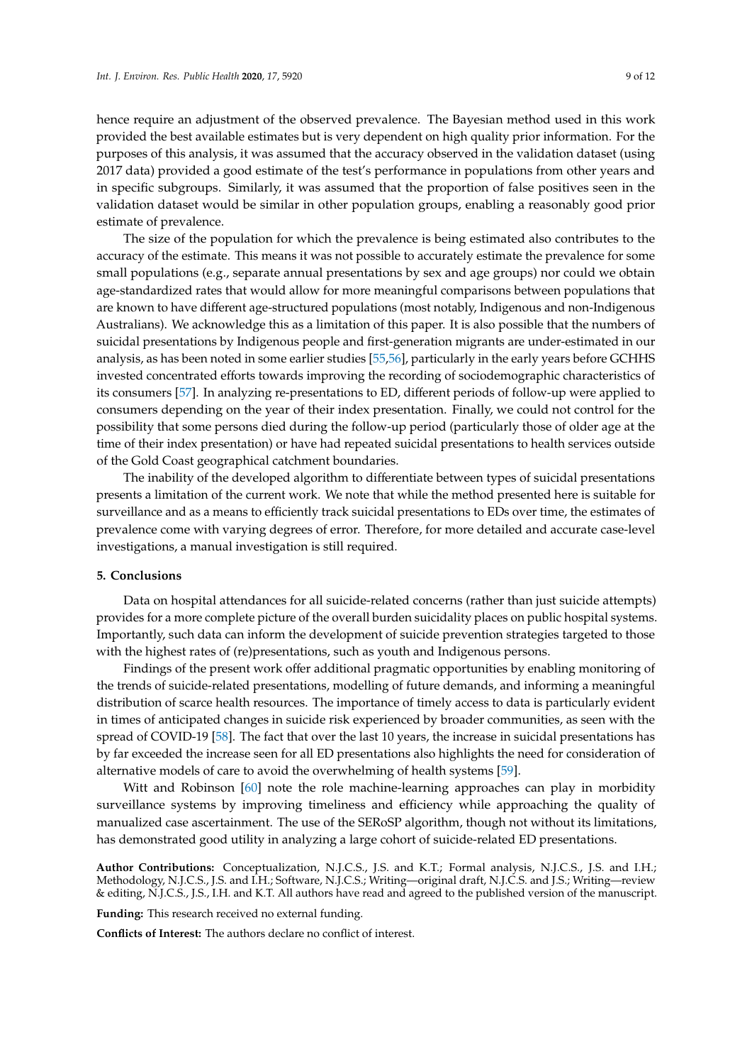hence require an adjustment of the observed prevalence. The Bayesian method used in this work provided the best available estimates but is very dependent on high quality prior information. For the purposes of this analysis, it was assumed that the accuracy observed in the validation dataset (using 2017 data) provided a good estimate of the test's performance in populations from other years and in specific subgroups. Similarly, it was assumed that the proportion of false positives seen in the validation dataset would be similar in other population groups, enabling a reasonably good prior estimate of prevalence.

The size of the population for which the prevalence is being estimated also contributes to the accuracy of the estimate. This means it was not possible to accurately estimate the prevalence for some small populations (e.g., separate annual presentations by sex and age groups) nor could we obtain age-standardized rates that would allow for more meaningful comparisons between populations that are known to have different age-structured populations (most notably, Indigenous and non-Indigenous Australians). We acknowledge this as a limitation of this paper. It is also possible that the numbers of suicidal presentations by Indigenous people and first-generation migrants are under-estimated in our analysis, as has been noted in some earlier studies [\[55,](#page-12-11)[56\]](#page-12-12), particularly in the early years before GCHHS invested concentrated efforts towards improving the recording of sociodemographic characteristics of its consumers [\[57\]](#page-12-13). In analyzing re-presentations to ED, different periods of follow-up were applied to consumers depending on the year of their index presentation. Finally, we could not control for the possibility that some persons died during the follow-up period (particularly those of older age at the time of their index presentation) or have had repeated suicidal presentations to health services outside of the Gold Coast geographical catchment boundaries.

The inability of the developed algorithm to differentiate between types of suicidal presentations presents a limitation of the current work. We note that while the method presented here is suitable for surveillance and as a means to efficiently track suicidal presentations to EDs over time, the estimates of prevalence come with varying degrees of error. Therefore, for more detailed and accurate case-level investigations, a manual investigation is still required.

# **5. Conclusions**

Data on hospital attendances for all suicide-related concerns (rather than just suicide attempts) provides for a more complete picture of the overall burden suicidality places on public hospital systems. Importantly, such data can inform the development of suicide prevention strategies targeted to those with the highest rates of (re)presentations, such as youth and Indigenous persons.

Findings of the present work offer additional pragmatic opportunities by enabling monitoring of the trends of suicide-related presentations, modelling of future demands, and informing a meaningful distribution of scarce health resources. The importance of timely access to data is particularly evident in times of anticipated changes in suicide risk experienced by broader communities, as seen with the spread of COVID-19 [\[58\]](#page-12-14). The fact that over the last 10 years, the increase in suicidal presentations has by far exceeded the increase seen for all ED presentations also highlights the need for consideration of alternative models of care to avoid the overwhelming of health systems [\[59\]](#page-12-15).

Witt and Robinson [\[60\]](#page-12-16) note the role machine-learning approaches can play in morbidity surveillance systems by improving timeliness and efficiency while approaching the quality of manualized case ascertainment. The use of the SERoSP algorithm, though not without its limitations, has demonstrated good utility in analyzing a large cohort of suicide-related ED presentations.

**Author Contributions:** Conceptualization, N.J.C.S., J.S. and K.T.; Formal analysis, N.J.C.S., J.S. and I.H.; Methodology, N.J.C.S., J.S. and I.H.; Software, N.J.C.S.; Writing—original draft, N.J.C.S. and J.S.; Writing—review & editing, N.J.C.S., J.S., I.H. and K.T. All authors have read and agreed to the published version of the manuscript.

**Funding:** This research received no external funding.

**Conflicts of Interest:** The authors declare no conflict of interest.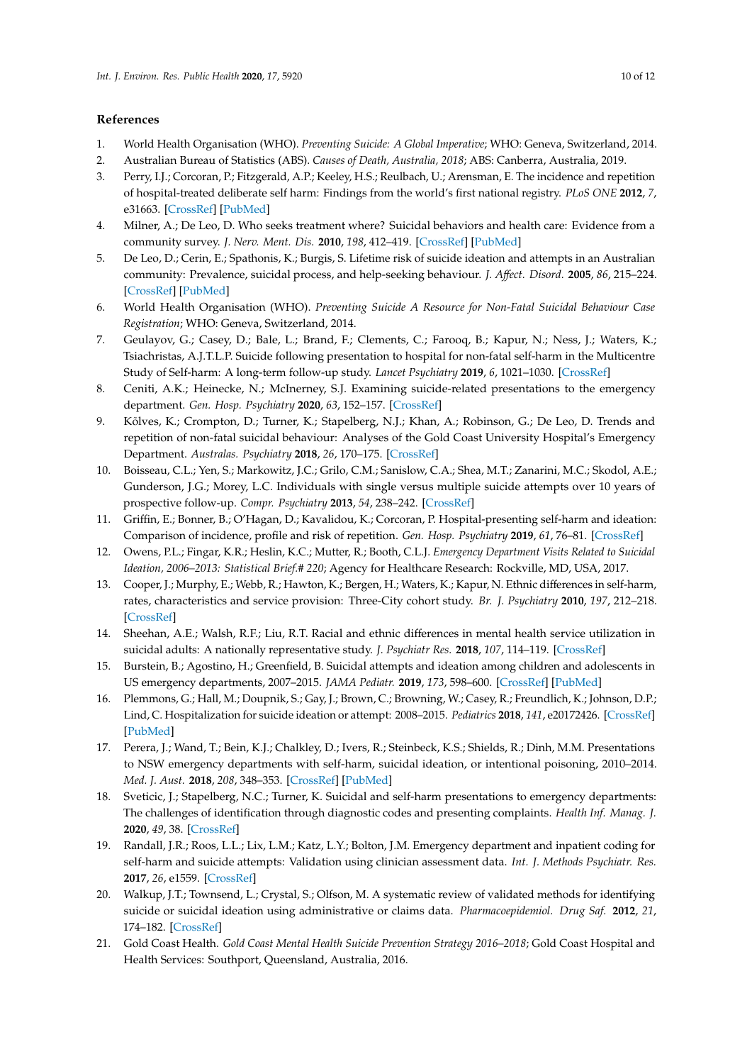# **References**

- <span id="page-10-0"></span>1. World Health Organisation (WHO). *Preventing Suicide: A Global Imperative*; WHO: Geneva, Switzerland, 2014.
- <span id="page-10-1"></span>2. Australian Bureau of Statistics (ABS). *Causes of Death, Australia, 2018*; ABS: Canberra, Australia, 2019.
- <span id="page-10-2"></span>3. Perry, I.J.; Corcoran, P.; Fitzgerald, A.P.; Keeley, H.S.; Reulbach, U.; Arensman, E. The incidence and repetition of hospital-treated deliberate self harm: Findings from the world's first national registry. *PLoS ONE* **2012**, *7*, e31663. [\[CrossRef\]](http://dx.doi.org/10.1371/journal.pone.0031663) [\[PubMed\]](http://www.ncbi.nlm.nih.gov/pubmed/22363700)
- <span id="page-10-3"></span>4. Milner, A.; De Leo, D. Who seeks treatment where? Suicidal behaviors and health care: Evidence from a community survey. *J. Nerv. Ment. Dis.* **2010**, *198*, 412–419. [\[CrossRef\]](http://dx.doi.org/10.1097/NMD.0b013e3181e07905) [\[PubMed\]](http://www.ncbi.nlm.nih.gov/pubmed/20531119)
- <span id="page-10-4"></span>5. De Leo, D.; Cerin, E.; Spathonis, K.; Burgis, S. Lifetime risk of suicide ideation and attempts in an Australian community: Prevalence, suicidal process, and help-seeking behaviour. *J. A*ff*ect. Disord.* **2005**, *86*, 215–224. [\[CrossRef\]](http://dx.doi.org/10.1016/j.jad.2005.02.001) [\[PubMed\]](http://www.ncbi.nlm.nih.gov/pubmed/15935241)
- <span id="page-10-5"></span>6. World Health Organisation (WHO). *Preventing Suicide A Resource for Non-Fatal Suicidal Behaviour Case Registration*; WHO: Geneva, Switzerland, 2014.
- 7. Geulayov, G.; Casey, D.; Bale, L.; Brand, F.; Clements, C.; Farooq, B.; Kapur, N.; Ness, J.; Waters, K.; Tsiachristas, A.J.T.L.P. Suicide following presentation to hospital for non-fatal self-harm in the Multicentre Study of Self-harm: A long-term follow-up study. *Lancet Psychiatry* **2019**, *6*, 1021–1030. [\[CrossRef\]](http://dx.doi.org/10.1016/S2215-0366(19)30402-X)
- <span id="page-10-6"></span>8. Ceniti, A.K.; Heinecke, N.; McInerney, S.J. Examining suicide-related presentations to the emergency department. *Gen. Hosp. Psychiatry* **2020**, *63*, 152–157. [\[CrossRef\]](http://dx.doi.org/10.1016/j.genhosppsych.2018.09.006)
- <span id="page-10-7"></span>9. Kõlves, K.; Crompton, D.; Turner, K.; Stapelberg, N.J.; Khan, A.; Robinson, G.; De Leo, D. Trends and repetition of non-fatal suicidal behaviour: Analyses of the Gold Coast University Hospital's Emergency Department. *Australas. Psychiatry* **2018**, *26*, 170–175. [\[CrossRef\]](http://dx.doi.org/10.1177/1039856217749059)
- <span id="page-10-8"></span>10. Boisseau, C.L.; Yen, S.; Markowitz, J.C.; Grilo, C.M.; Sanislow, C.A.; Shea, M.T.; Zanarini, M.C.; Skodol, A.E.; Gunderson, J.G.; Morey, L.C. Individuals with single versus multiple suicide attempts over 10 years of prospective follow-up. *Compr. Psychiatry* **2013**, *54*, 238–242. [\[CrossRef\]](http://dx.doi.org/10.1016/j.comppsych.2012.07.062)
- <span id="page-10-9"></span>11. Griffin, E.; Bonner, B.; O'Hagan, D.; Kavalidou, K.; Corcoran, P. Hospital-presenting self-harm and ideation: Comparison of incidence, profile and risk of repetition. *Gen. Hosp. Psychiatry* **2019**, *61*, 76–81. [\[CrossRef\]](http://dx.doi.org/10.1016/j.genhosppsych.2019.10.009)
- <span id="page-10-10"></span>12. Owens, P.L.; Fingar, K.R.; Heslin, K.C.; Mutter, R.; Booth, C.L.J. *Emergency Department Visits Related to Suicidal Ideation, 2006–2013: Statistical Brief.# 220*; Agency for Healthcare Research: Rockville, MD, USA, 2017.
- <span id="page-10-11"></span>13. Cooper, J.; Murphy, E.; Webb, R.; Hawton, K.; Bergen, H.; Waters, K.; Kapur, N. Ethnic differences in self-harm, rates, characteristics and service provision: Three-City cohort study. *Br. J. Psychiatry* **2010**, *197*, 212–218. [\[CrossRef\]](http://dx.doi.org/10.1192/bjp.bp.109.072637)
- <span id="page-10-12"></span>14. Sheehan, A.E.; Walsh, R.F.; Liu, R.T. Racial and ethnic differences in mental health service utilization in suicidal adults: A nationally representative study. *J. Psychiatr Res.* **2018**, *107*, 114–119. [\[CrossRef\]](http://dx.doi.org/10.1016/j.jpsychires.2018.10.019)
- <span id="page-10-13"></span>15. Burstein, B.; Agostino, H.; Greenfield, B. Suicidal attempts and ideation among children and adolescents in US emergency departments, 2007–2015. *JAMA Pediatr.* **2019**, *173*, 598–600. [\[CrossRef\]](http://dx.doi.org/10.1001/jamapediatrics.2019.0464) [\[PubMed\]](http://www.ncbi.nlm.nih.gov/pubmed/30958529)
- 16. Plemmons, G.; Hall, M.; Doupnik, S.; Gay, J.; Brown, C.; Browning, W.; Casey, R.; Freundlich, K.; Johnson, D.P.; Lind, C. Hospitalization for suicide ideation or attempt: 2008–2015. *Pediatrics* **2018**, *141*, e20172426. [\[CrossRef\]](http://dx.doi.org/10.1542/peds.2017-2426) [\[PubMed\]](http://www.ncbi.nlm.nih.gov/pubmed/29769243)
- <span id="page-10-14"></span>17. Perera, J.; Wand, T.; Bein, K.J.; Chalkley, D.; Ivers, R.; Steinbeck, K.S.; Shields, R.; Dinh, M.M. Presentations to NSW emergency departments with self-harm, suicidal ideation, or intentional poisoning, 2010–2014. *Med. J. Aust.* **2018**, *208*, 348–353. [\[CrossRef\]](http://dx.doi.org/10.5694/mja17.00589) [\[PubMed\]](http://www.ncbi.nlm.nih.gov/pubmed/29669496)
- <span id="page-10-15"></span>18. Sveticic, J.; Stapelberg, N.C.; Turner, K. Suicidal and self-harm presentations to emergency departments: The challenges of identification through diagnostic codes and presenting complaints. *Health Inf. Manag. J.* **2020**, *49*, 38. [\[CrossRef\]](http://dx.doi.org/10.1177/1833358319857188)
- <span id="page-10-16"></span>19. Randall, J.R.; Roos, L.L.; Lix, L.M.; Katz, L.Y.; Bolton, J.M. Emergency department and inpatient coding for self-harm and suicide attempts: Validation using clinician assessment data. *Int. J. Methods Psychiatr. Res.* **2017**, *26*, e1559. [\[CrossRef\]](http://dx.doi.org/10.1002/mpr.1559)
- <span id="page-10-17"></span>20. Walkup, J.T.; Townsend, L.; Crystal, S.; Olfson, M. A systematic review of validated methods for identifying suicide or suicidal ideation using administrative or claims data. *Pharmacoepidemiol. Drug Saf.* **2012**, *21*, 174–182. [\[CrossRef\]](http://dx.doi.org/10.1002/pds.2335)
- <span id="page-10-18"></span>21. Gold Coast Health. *Gold Coast Mental Health Suicide Prevention Strategy 2016–2018*; Gold Coast Hospital and Health Services: Southport, Queensland, Australia, 2016.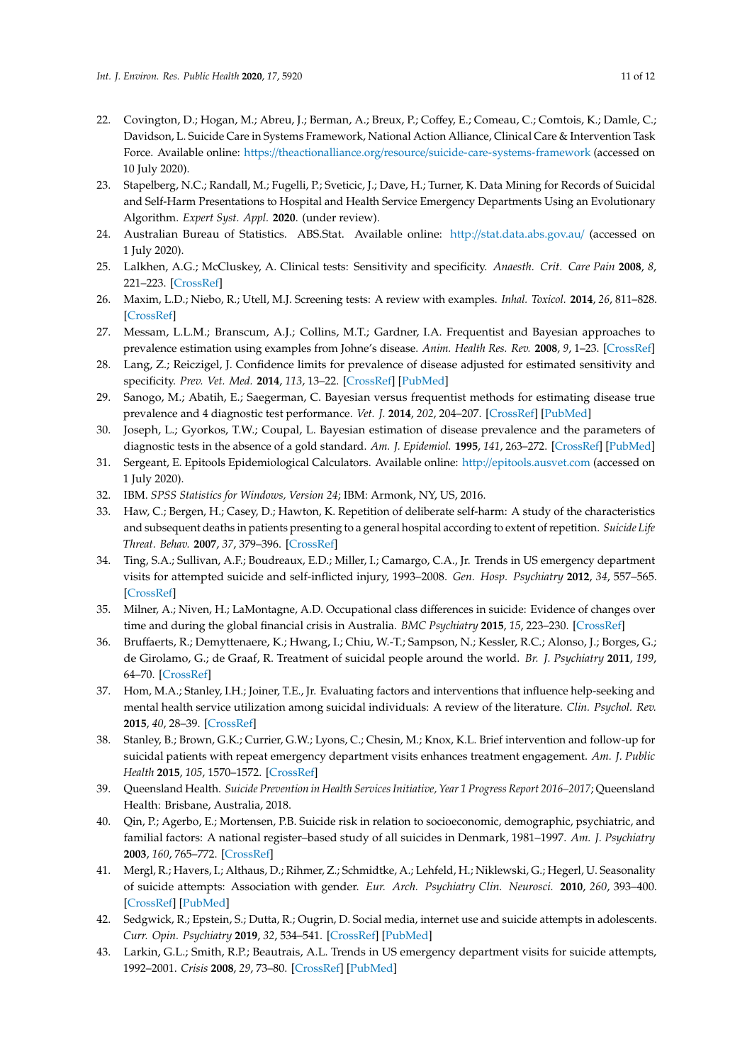- <span id="page-11-0"></span>22. Covington, D.; Hogan, M.; Abreu, J.; Berman, A.; Breux, P.; Coffey, E.; Comeau, C.; Comtois, K.; Damle, C.; Davidson, L. Suicide Care in Systems Framework, National Action Alliance, Clinical Care & Intervention Task Force. Available online: https://theactionalliance.org/resource/[suicide-care-systems-framework](https://theactionalliance.org/resource/suicide-care-systems-framework) (accessed on 10 July 2020).
- <span id="page-11-1"></span>23. Stapelberg, N.C.; Randall, M.; Fugelli, P.; Sveticic, J.; Dave, H.; Turner, K. Data Mining for Records of Suicidal and Self-Harm Presentations to Hospital and Health Service Emergency Departments Using an Evolutionary Algorithm. *Expert Syst. Appl.* **2020**. (under review).
- <span id="page-11-2"></span>24. Australian Bureau of Statistics. ABS.Stat. Available online: http://[stat.data.abs.gov.au](http://stat.data.abs.gov.au/)/ (accessed on 1 July 2020).
- <span id="page-11-3"></span>25. Lalkhen, A.G.; McCluskey, A. Clinical tests: Sensitivity and specificity. *Anaesth. Crit. Care Pain* **2008**, *8*, 221–223. [\[CrossRef\]](http://dx.doi.org/10.1093/bjaceaccp/mkn041)
- <span id="page-11-4"></span>26. Maxim, L.D.; Niebo, R.; Utell, M.J. Screening tests: A review with examples. *Inhal. Toxicol.* **2014**, *26*, 811–828. [\[CrossRef\]](http://dx.doi.org/10.3109/08958378.2014.955932)
- <span id="page-11-5"></span>27. Messam, L.L.M.; Branscum, A.J.; Collins, M.T.; Gardner, I.A. Frequentist and Bayesian approaches to prevalence estimation using examples from Johne's disease. *Anim. Health Res. Rev.* **2008**, *9*, 1–23. [\[CrossRef\]](http://dx.doi.org/10.1017/S1466252307001314)
- <span id="page-11-6"></span>28. Lang, Z.; Reiczigel, J. Confidence limits for prevalence of disease adjusted for estimated sensitivity and specificity. *Prev. Vet. Med.* **2014**, *113*, 13–22. [\[CrossRef\]](http://dx.doi.org/10.1016/j.prevetmed.2013.09.015) [\[PubMed\]](http://www.ncbi.nlm.nih.gov/pubmed/24416798)
- <span id="page-11-7"></span>29. Sanogo, M.; Abatih, E.; Saegerman, C. Bayesian versus frequentist methods for estimating disease true prevalence and 4 diagnostic test performance. *Vet. J.* **2014**, *202*, 204–207. [\[CrossRef\]](http://dx.doi.org/10.1016/j.tvjl.2014.08.002) [\[PubMed\]](http://www.ncbi.nlm.nih.gov/pubmed/25172837)
- <span id="page-11-8"></span>30. Joseph, L.; Gyorkos, T.W.; Coupal, L. Bayesian estimation of disease prevalence and the parameters of diagnostic tests in the absence of a gold standard. *Am. J. Epidemiol.* **1995**, *141*, 263–272. [\[CrossRef\]](http://dx.doi.org/10.1093/oxfordjournals.aje.a117428) [\[PubMed\]](http://www.ncbi.nlm.nih.gov/pubmed/7840100)
- <span id="page-11-9"></span>31. Sergeant, E. Epitools Epidemiological Calculators. Available online: http://[epitools.ausvet.com](http://epitools.ausvet.com) (accessed on 1 July 2020).
- <span id="page-11-10"></span>32. IBM. *SPSS Statistics for Windows, Version 24*; IBM: Armonk, NY, US, 2016.
- <span id="page-11-11"></span>33. Haw, C.; Bergen, H.; Casey, D.; Hawton, K. Repetition of deliberate self-harm: A study of the characteristics and subsequent deaths in patients presenting to a general hospital according to extent of repetition. *Suicide Life Threat. Behav.* **2007**, *37*, 379–396. [\[CrossRef\]](http://dx.doi.org/10.1521/suli.2007.37.4.379)
- <span id="page-11-12"></span>34. Ting, S.A.; Sullivan, A.F.; Boudreaux, E.D.; Miller, I.; Camargo, C.A., Jr. Trends in US emergency department visits for attempted suicide and self-inflicted injury, 1993–2008. *Gen. Hosp. Psychiatry* **2012**, *34*, 557–565. [\[CrossRef\]](http://dx.doi.org/10.1016/j.genhosppsych.2012.03.020)
- <span id="page-11-13"></span>35. Milner, A.; Niven, H.; LaMontagne, A.D. Occupational class differences in suicide: Evidence of changes over time and during the global financial crisis in Australia. *BMC Psychiatry* **2015**, *15*, 223–230. [\[CrossRef\]](http://dx.doi.org/10.1186/s12888-015-0608-5)
- <span id="page-11-14"></span>36. Bruffaerts, R.; Demyttenaere, K.; Hwang, I.; Chiu, W.-T.; Sampson, N.; Kessler, R.C.; Alonso, J.; Borges, G.; de Girolamo, G.; de Graaf, R. Treatment of suicidal people around the world. *Br. J. Psychiatry* **2011**, *199*, 64–70. [\[CrossRef\]](http://dx.doi.org/10.1192/bjp.bp.110.084129)
- 37. Hom, M.A.; Stanley, I.H.; Joiner, T.E., Jr. Evaluating factors and interventions that influence help-seeking and mental health service utilization among suicidal individuals: A review of the literature. *Clin. Psychol. Rev.* **2015**, *40*, 28–39. [\[CrossRef\]](http://dx.doi.org/10.1016/j.cpr.2015.05.006)
- <span id="page-11-15"></span>38. Stanley, B.; Brown, G.K.; Currier, G.W.; Lyons, C.; Chesin, M.; Knox, K.L. Brief intervention and follow-up for suicidal patients with repeat emergency department visits enhances treatment engagement. *Am. J. Public Health* **2015**, *105*, 1570–1572. [\[CrossRef\]](http://dx.doi.org/10.2105/AJPH.2015.302656)
- <span id="page-11-16"></span>39. Queensland Health. *Suicide Prevention in Health Services Initiative, Year 1 Progress Report 2016–2017*; Queensland Health: Brisbane, Australia, 2018.
- <span id="page-11-17"></span>40. Qin, P.; Agerbo, E.; Mortensen, P.B. Suicide risk in relation to socioeconomic, demographic, psychiatric, and familial factors: A national register–based study of all suicides in Denmark, 1981–1997. *Am. J. Psychiatry* **2003**, *160*, 765–772. [\[CrossRef\]](http://dx.doi.org/10.1176/appi.ajp.160.4.765)
- <span id="page-11-18"></span>41. Mergl, R.; Havers, I.; Althaus, D.; Rihmer, Z.; Schmidtke, A.; Lehfeld, H.; Niklewski, G.; Hegerl, U. Seasonality of suicide attempts: Association with gender. *Eur. Arch. Psychiatry Clin. Neurosci.* **2010**, *260*, 393–400. [\[CrossRef\]](http://dx.doi.org/10.1007/s00406-009-0086-1) [\[PubMed\]](http://www.ncbi.nlm.nih.gov/pubmed/19915990)
- <span id="page-11-19"></span>42. Sedgwick, R.; Epstein, S.; Dutta, R.; Ougrin, D. Social media, internet use and suicide attempts in adolescents. *Curr. Opin. Psychiatry* **2019**, *32*, 534–541. [\[CrossRef\]](http://dx.doi.org/10.1097/YCO.0000000000000547) [\[PubMed\]](http://www.ncbi.nlm.nih.gov/pubmed/31306245)
- <span id="page-11-20"></span>43. Larkin, G.L.; Smith, R.P.; Beautrais, A.L. Trends in US emergency department visits for suicide attempts, 1992–2001. *Crisis* **2008**, *29*, 73–80. [\[CrossRef\]](http://dx.doi.org/10.1027/0227-5910.29.2.73) [\[PubMed\]](http://www.ncbi.nlm.nih.gov/pubmed/18664232)